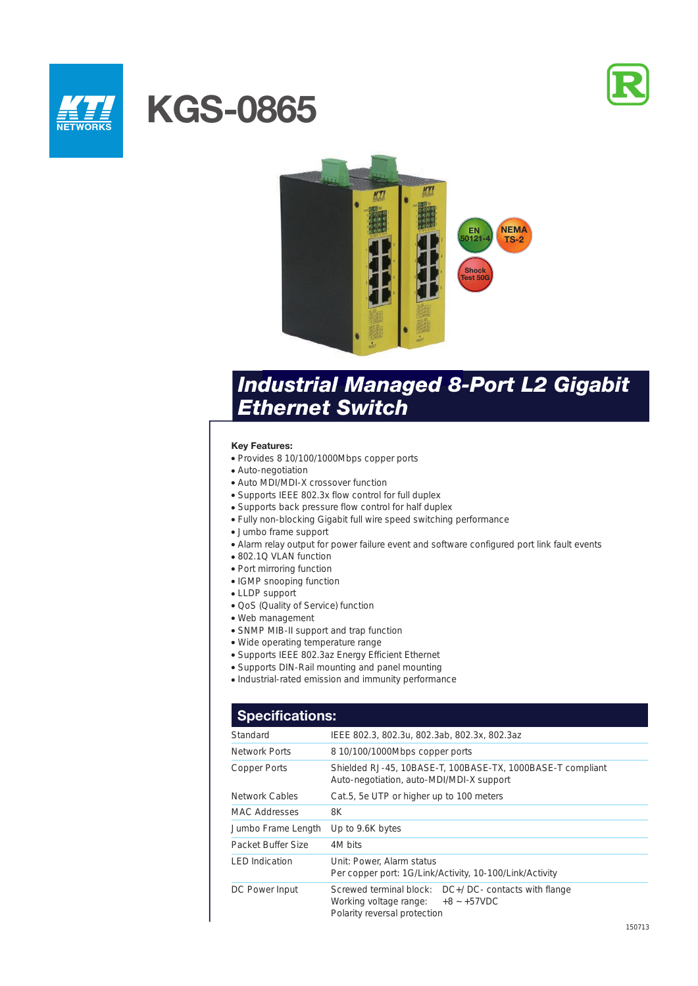



# **KGS-0865**



## *Industrial Managed 8-Port L2 Gigabit Ethernet Switch*

## **Key Features:**

- Provides 8 10/100/1000Mbps copper ports
- Auto-negotiation
- Auto MDI/MDI-X crossover function
- Supports IEEE 802.3x flow control for full duplex
- Supports back pressure flow control for half duplex
- Fully non-blocking Gigabit full wire speed switching performance
- Jumbo frame support
- Alarm relay output for power failure event and software configured port link fault events
- 802.1Q VLAN function
- Port mirroring function
- IGMP snooping function
- LLDP support
- QoS (Quality of Service) function
- Web management
- SNMP MIB-II support and trap function
- Wide operating temperature range
- Supports IEEE 802.3az Energy Efficient Ethernet
- Supports DIN-Rail mounting and panel mounting
- Industrial-rated emission and immunity performance

## **Specifications:**

| Standard              | IEEE 802.3, 802.3u, 802.3ab, 802.3x, 802.3az                                                                                    |  |
|-----------------------|---------------------------------------------------------------------------------------------------------------------------------|--|
|                       |                                                                                                                                 |  |
| Network Ports         | 8 10/100/1000Mbps copper ports                                                                                                  |  |
| Copper Ports          | Shielded RJ-45, 10BASE-T, 100BASE-TX, 1000BASE-T compliant<br>Auto-negotiation, auto-MDI/MDI-X support                          |  |
| <b>Network Cables</b> | Cat.5, 5e UTP or higher up to 100 meters                                                                                        |  |
| <b>MAC Addresses</b>  | 8K                                                                                                                              |  |
| Jumbo Frame Length    | Up to 9.6K bytes                                                                                                                |  |
| Packet Buffer Size    | 4M bits                                                                                                                         |  |
| <b>LED</b> Indication | Unit: Power, Alarm status<br>Per copper port: 1G/Link/Activity, 10-100/Link/Activity                                            |  |
| DC Power Input        | Screwed terminal block: DC+/DC- contacts with flange<br>Working voltage range: $+8$ ~ $+57$ VDC<br>Polarity reversal protection |  |